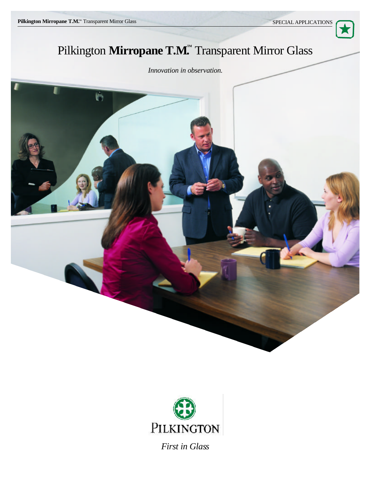

# Pilkington Mirropane T.M. Transparent Mirror Glass

## *Innovation in observation.*





*First in Glass*